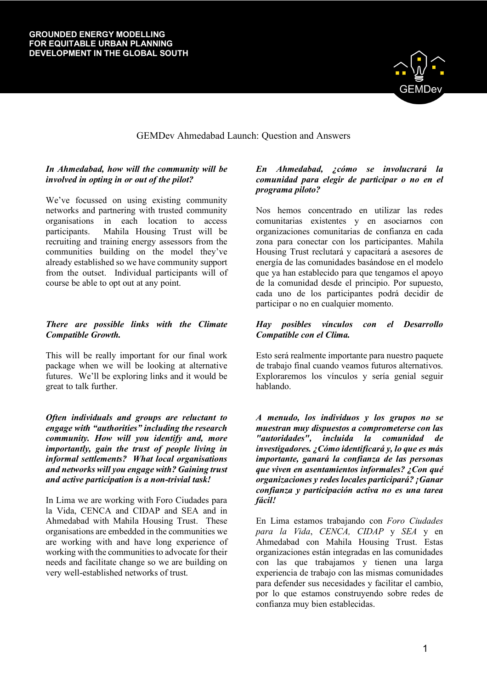#### **GROUNDED ENERGY MODELLING FOR EQUITABLE URBAN PLANNING DEVELOPMENT IN THE GLOBAL SOUTH**



# GEMDev Ahmedabad Launch: Question and Answers

# *In Ahmedabad, how will the community will be involved in opting in or out of the pilot?*

We've focussed on using existing community networks and partnering with trusted community organisations in each location to access participants. Mahila Housing Trust will be recruiting and training energy assessors from the communities building on the model they've already established so we have community support from the outset. Individual participants will of course be able to opt out at any point.

# *There are possible links with the Climate Compatible Growth.*

This will be really important for our final work package when we will be looking at alternative futures. We'll be exploring links and it would be great to talk further.

*Often individuals and groups are reluctant to engage with "authorities" including the research community. How will you identify and, more importantly, gain the trust of people living in informal settlements? What local organisations and networks will you engage with? Gaining trust and active participation is a non-trivial task!*

In Lima we are working with Foro Ciudades para la Vida, CENCA and CIDAP and SEA and in Ahmedabad with Mahila Housing Trust. These organisations are embedded in the communities we are working with and have long experience of working with the communities to advocate for their needs and facilitate change so we are building on very well-established networks of trust.

# *En Ahmedabad, ¿cómo se involucrará la comunidad para elegir de participar o no en el programa piloto?*

Nos hemos concentrado en utilizar las redes comunitarias existentes y en asociarnos con organizaciones comunitarias de confianza en cada zona para conectar con los participantes. Mahila Housing Trust reclutará y capacitará a asesores de energía de las comunidades basándose en el modelo que ya han establecido para que tengamos el apoyo de la comunidad desde el principio. Por supuesto, cada uno de los participantes podrá decidir de participar o no en cualquier momento.

## *Hay posibles vínculos con el Desarrollo Compatible con el Clima.*

Esto será realmente importante para nuestro paquete de trabajo final cuando veamos futuros alternativos. Exploraremos los vínculos y sería genial seguir hablando.

*A menudo, los individuos y los grupos no se muestran muy dispuestos a comprometerse con las "autoridades", incluida la comunidad de investigadores. ¿Cómo identificará y, lo que es más importante, ganará la confianza de las personas que viven en asentamientos informales? ¿Con qué organizaciones y redes locales participará? ¡Ganar confianza y participación activa no es una tarea fácil!*

En Lima estamos trabajando con *Foro Ciudades para la Vida*, *CENCA, CIDAP* y *SEA* y en Ahmedabad con Mahila Housing Trust. Estas organizaciones están integradas en las comunidades con las que trabajamos y tienen una larga experiencia de trabajo con las mismas comunidades para defender sus necesidades y facilitar el cambio, por lo que estamos construyendo sobre redes de confianza muy bien establecidas.